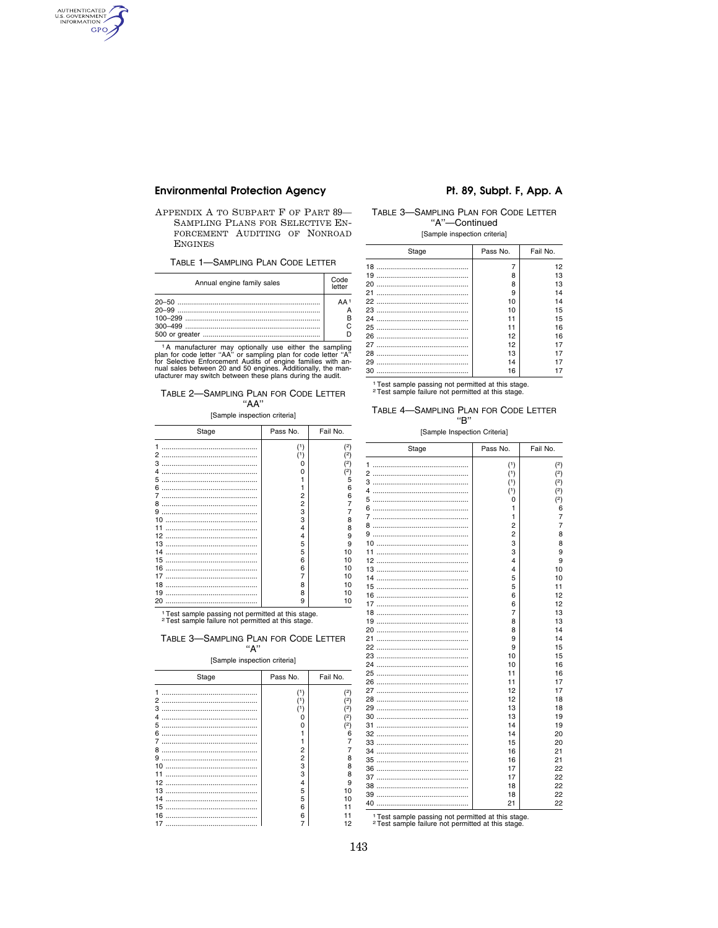# **Environmental Protection Agency**

AUTHENTICATED GPO

> APPENDIX A TO SUBPART F OF PART 89-SAMPLING PLANS FOR SELECTIVE EN-FORCEMENT AUDITING OF NONROAD **ENGINES**

TABLE 1-SAMPLING PLAN CODE LETTER

| Annual engine family sales | Code<br>letter    |
|----------------------------|-------------------|
|                            | $\Delta \Delta$ 1 |

The manufacturer may optionally use either the sampling<br>plan for code letter "AA" or sampling plan for code letter "A"<br>for Selective Enforcement Audits of engine families with an-<br>nual sales between 20 and 50 engines. Add

### TABLE 2-SAMPLING PLAN FOR CODE LETTER  $"AA"$

#### [Sample inspection criteria]

| Stage                                                                                 | Pass No.                                                                         | Fail No.                                                                                 |
|---------------------------------------------------------------------------------------|----------------------------------------------------------------------------------|------------------------------------------------------------------------------------------|
| 1<br>з<br>4<br>5<br>6<br>8<br>9<br>10<br>11<br>12<br>13<br>14<br>15<br>16<br>17<br>18 | (1)<br>(1)<br>ი<br>n<br>2<br>2<br>3<br>3<br>4<br>4<br>5<br>5<br>6<br>6<br>7<br>8 | (2)<br>(2)<br>(2)<br>2)<br>5<br>6<br>6<br>8<br>8<br>9<br>9<br>10<br>10<br>10<br>10<br>10 |
| 19                                                                                    | 8                                                                                | 10                                                                                       |
|                                                                                       | 9                                                                                | 10                                                                                       |

<sup>1</sup>Test sample passing not permitted at this stage.<br><sup>2</sup>Test sample failure not permitted at this stage.

### TABLE 3-SAMPLING PLAN FOR CODE LETTER "А"

#### [Sample inspection criteria]

| Stage | Pass No.       | Fail No. |
|-------|----------------|----------|
| 1     |                | (2)      |
| 2     |                | $^{2}$   |
| з     |                | (2)      |
| 4     |                | (2)      |
| 5     | Ω              | (2)      |
| 6     |                | Я        |
| 7     |                |          |
| 8     | 2              |          |
| 9     | $\overline{c}$ | 8        |
| 10    | 3              | 8        |
| 11    | з              | 8        |
| 12    | 4              | g        |
| 13    | 5              | 10       |
| 14    | 5              | 10       |
| 15    | 6              | 11       |
| 16    | 6              |          |
| 17    |                | 12       |

### Pt. 89, Subpt. F, App. A

### TABLE 3-SAMPLING PLAN FOR CODE LETTER "A"-Continued

[Sample inspection criteria]

| Stage | Pass No. | Fail No. |
|-------|----------|----------|
|       |          | 12       |
|       | 8        | 13       |
|       | R        | 13       |
|       | 9        | 14       |
|       | 10       | 14       |
|       | 10       | 15       |
|       | 11       | 15       |
|       | 11       | 16       |
|       | 12       | 16       |
|       | 12       | 17       |
|       | 13       | 17       |
|       | 14       | 17       |
|       | 16       | 17       |

<sup>1</sup> Test sample passing not permitted at this stage. <sup>2</sup> Test sample failure not permitted at this stage.

### TABLE 4-SAMPLING PLAN FOR CODE LETTER "B"

[Sample Inspection Criteria]

| Stage | Pass No.                | Fail No.       |
|-------|-------------------------|----------------|
| 1     | (1)                     | (2)            |
|       | (1)                     | (2)            |
|       | (1)                     | (2)            |
|       | (1)                     | (2)            |
|       | 0                       | (2)            |
|       | 1                       | 6              |
|       | 1                       | 7              |
|       | $\overline{2}$          | $\overline{7}$ |
|       | $\overline{c}$          | 8              |
|       | 3                       | 8              |
|       | 3                       | 9              |
|       | $\overline{\mathbf{A}}$ | 9              |
|       | 4                       | 10             |
|       | 5                       | 10             |
|       | 5                       | 11             |
|       | 6                       | 12             |
|       | 6                       | 12             |
|       | 7                       | 13             |
|       | 8                       | 13             |
|       | 8                       | 14             |
|       | 9                       | 14             |
|       | 9                       | 15             |
|       | 10                      | 15             |
|       | 10                      | 16             |
|       | 11                      | 16             |
|       | 11                      | 17             |
|       | 12                      | 17             |
|       | 12                      | 18             |
|       | 13                      | 18             |
|       | 13                      | 19             |
|       | 14                      | 19             |
|       | 14                      | 20             |
|       | 15                      | 20             |
|       | 16                      | 21             |
|       | 16                      | 21             |
|       | 17                      | 22             |
|       | 17                      | 22             |
|       | 18                      | 22             |
|       | 18                      | 22             |
|       | 21                      | 22             |
|       |                         |                |

<sup>1</sup> Test sample passing not permitted at this stage. 2 Test sample public not permitted at this stage.